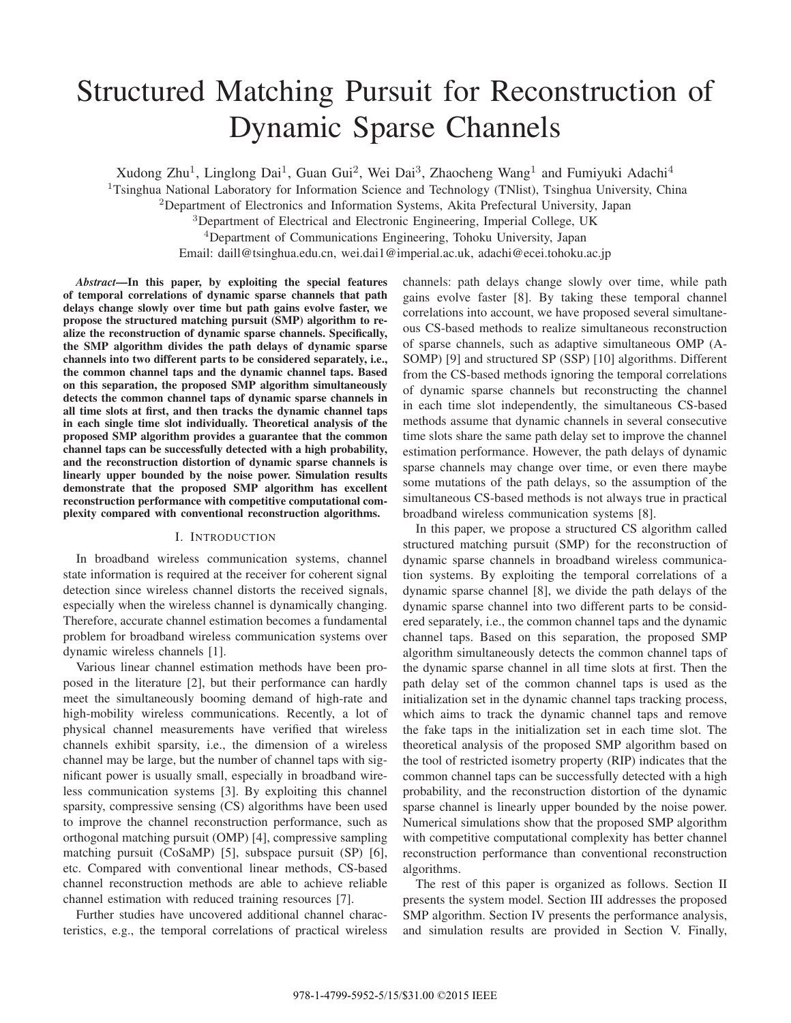# Structured Matching Pursuit for Reconstruction of Dynamic Sparse Channels

Xudong Zhu<sup>1</sup>, Linglong Dai<sup>1</sup>, Guan Gui<sup>2</sup>, Wei Dai<sup>3</sup>, Zhaocheng Wang<sup>1</sup> and Fumiyuki Adachi<sup>4</sup>

<sup>1</sup>Tsinghua National Laboratory for Information Science and Technology (TNlist), Tsinghua University, China

<sup>2</sup>Department of Electronics and Information Systems, Akita Prefectural University, Japan

<sup>3</sup>Department of Electrical and Electronic Engineering, Imperial College, UK

<sup>4</sup>Department of Communications Engineering, Tohoku University, Japan

Email: daill@tsinghua.edu.cn, wei.dai1@imperial.ac.uk, adachi@ecei.tohoku.ac.jp

*Abstract***—In this paper, by exploiting the special features of temporal correlations of dynamic sparse channels that path delays change slowly over time but path gains evolve faster, we propose the structured matching pursuit (SMP) algorithm to realize the reconstruction of dynamic sparse channels. Specifically, the SMP algorithm divides the path delays of dynamic sparse channels into two different parts to be considered separately, i.e., the common channel taps and the dynamic channel taps. Based on this separation, the proposed SMP algorithm simultaneously detects the common channel taps of dynamic sparse channels in all time slots at first, and then tracks the dynamic channel taps in each single time slot individually. Theoretical analysis of the proposed SMP algorithm provides a guarantee that the common channel taps can be successfully detected with a high probability, and the reconstruction distortion of dynamic sparse channels is linearly upper bounded by the noise power. Simulation results demonstrate that the proposed SMP algorithm has excellent reconstruction performance with competitive computational complexity compared with conventional reconstruction algorithms.**

#### I. INTRODUCTION

In broadband wireless communication systems, channel state information is required at the receiver for coherent signal detection since wireless channel distorts the received signals, especially when the wireless channel is dynamically changing. Therefore, accurate channel estimation becomes a fundamental problem for broadband wireless communication systems over dynamic wireless channels [1].

Various linear channel estimation methods have been proposed in the literature [2], but their performance can hardly meet the simultaneously booming demand of high-rate and high-mobility wireless communications. Recently, a lot of physical channel measurements have verified that wireless channels exhibit sparsity, i.e., the dimension of a wireless channel may be large, but the number of channel taps with significant power is usually small, especially in broadband wireless communication systems [3]. By exploiting this channel sparsity, compressive sensing (CS) algorithms have been used to improve the channel reconstruction performance, such as orthogonal matching pursuit (OMP) [4], compressive sampling matching pursuit (CoSaMP) [5], subspace pursuit (SP) [6], etc. Compared with conventional linear methods, CS-based channel reconstruction methods are able to achieve reliable channel estimation with reduced training resources [7].

Further studies have uncovered additional channel characteristics, e.g., the temporal correlations of practical wireless channels: path delays change slowly over time, while path gains evolve faster [8]. By taking these temporal channel correlations into account, we have proposed several simultaneous CS-based methods to realize simultaneous reconstruction of sparse channels, such as adaptive simultaneous OMP (A-SOMP) [9] and structured SP (SSP) [10] algorithms. Different from the CS-based methods ignoring the temporal correlations of dynamic sparse channels but reconstructing the channel in each time slot independently, the simultaneous CS-based methods assume that dynamic channels in several consecutive time slots share the same path delay set to improve the channel estimation performance. However, the path delays of dynamic sparse channels may change over time, or even there maybe some mutations of the path delays, so the assumption of the simultaneous CS-based methods is not always true in practical broadband wireless communication systems [8].

In this paper, we propose a structured CS algorithm called structured matching pursuit (SMP) for the reconstruction of dynamic sparse channels in broadband wireless communication systems. By exploiting the temporal correlations of a dynamic sparse channel [8], we divide the path delays of the dynamic sparse channel into two different parts to be considered separately, i.e., the common channel taps and the dynamic channel taps. Based on this separation, the proposed SMP algorithm simultaneously detects the common channel taps of the dynamic sparse channel in all time slots at first. Then the path delay set of the common channel taps is used as the initialization set in the dynamic channel taps tracking process, which aims to track the dynamic channel taps and remove the fake taps in the initialization set in each time slot. The theoretical analysis of the proposed SMP algorithm based on the tool of restricted isometry property (RIP) indicates that the common channel taps can be successfully detected with a high probability, and the reconstruction distortion of the dynamic sparse channel is linearly upper bounded by the noise power. Numerical simulations show that the proposed SMP algorithm with competitive computational complexity has better channel reconstruction performance than conventional reconstruction algorithms.

The rest of this paper is organized as follows. Section II presents the system model. Section III addresses the proposed SMP algorithm. Section IV presents the performance analysis, and simulation results are provided in Section V. Finally,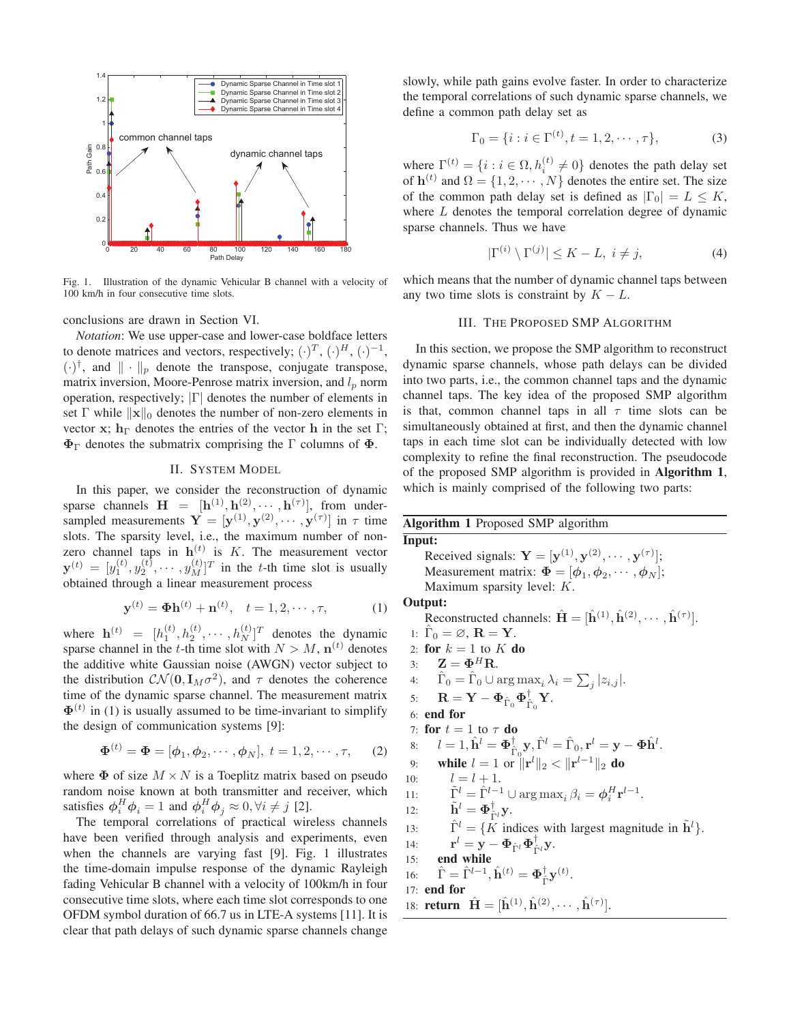

Fig. 1. Illustration of the dynamic Vehicular B channel with a velocity of 100 km/h in four consecutive time slots.

conclusions are drawn in Section VI.

*Notation*: We use upper-case and lower-case boldface letters to denote matrices and vectors, respectively;  $(\cdot)^T$ ,  $(\cdot)^H$ ,  $(\cdot)^{-1}$ ,  $(\cdot)^\dagger$ , and  $\|\cdot\|_p$  denote the transpose, conjugate transpose, matrix inversion and l norm matrix inversion, Moore-Penrose matrix inversion, and  $l_p$  norm operation, respectively; <sup>|</sup>Γ<sup>|</sup> denotes the number of elements in set  $\Gamma$  while  $\|\mathbf{x}\|_0$  denotes the number of non-zero elements in vector  $\mathbf{x}$ :  $\mathbf{b}_\Gamma$  denotes the entries of the vector **h** in the set  $\Gamma$ . vector **x**;  $h_{\Gamma}$  denotes the entries of the vector **h** in the set Γ; **<sup>Φ</sup>**<sup>Γ</sup> denotes the submatrix comprising the <sup>Γ</sup> columns of **<sup>Φ</sup>**.

### II. SYSTEM MODEL

In this paper, we consider the reconstruction of dynamic sparse channels  $\mathbf{H} = [\mathbf{h}^{(1)}, \mathbf{h}^{(2)}, \cdots, \mathbf{h}^{(\tau)}]$ , from under-<br>sampled measurements  $\mathbf{V} = [\mathbf{v}^{(1)}, \mathbf{v}^{(2)}, \cdots, \mathbf{v}^{(\tau)}]$  in  $\tau$  time sampled measurements  $\mathbf{Y} = [\mathbf{y}^{(1)}, \mathbf{y}^{(2)}, \cdots, \mathbf{y}^{(\tau)}]$  in  $\tau$  time<br>slots. The sparsity level, i.e., the maximum number of nonslots. The sparsity level, i.e., the maximum number of nonzero channel taps in  $h^{(t)}$  is K. The measurement vector  $\mathbf{y}^{(t)} = [y_1^{(t)}, y_2^{(t)}, \cdots, y_{M}^{(t)}]^T$  in the t-th time slot is usually obtained through a linear measurement process  $\mathcal{Y} = [\mathcal{Y}_1, \mathcal{Y}_2, \dots, \mathcal{Y}_M]$  in the  $\mathcal{Y}$ -th time<br>obtained through a linear measurement process

$$
\mathbf{y}^{(t)} = \mathbf{\Phi} \mathbf{h}^{(t)} + \mathbf{n}^{(t)}, \quad t = 1, 2, \cdots, \tau,
$$
 (1)

where  $\mathbf{h}^{(t)} = [h_1^{(t)}, h_2^{(t)}, \cdots, h_N^{(t)}]^T$  denotes the dynamic<br>sparse channel in the *t*-th time slot with  $N \geq M \mathbf{n}^{(t)}$  denotes sparse channel in the t-th time slot with  $N > M$ ,  $\mathbf{n}^{(t)}$  denotes the additive white Gaussian noise (AWGN) vector subject to the distribution  $\mathcal{CN}(\mathbf{0}, \mathbf{I}_M \sigma^2)$ , and  $\tau$  denotes the coherence time of the dynamic sparse channel. The measurement matrix  $\Phi^{(t)}$  in (1) is usually assumed to be time-invariant to simplify the design of communication systems [9]:

$$
\mathbf{\Phi}^{(t)} = \mathbf{\Phi} = [\phi_1, \phi_2, \cdots, \phi_N], \ t = 1, 2, \cdots, \tau, \qquad (2)
$$

where  $\Phi$  of size  $M \times N$  is a Toeplitz matrix based on pseudo random noise known at both transmitter and receiver, which satisfies  $\phi_i^H \phi_i = 1$  and  $\phi_i^H \phi_j \approx 0, \forall i \neq j$  [2].<br>The temporal correlations of practical wire

The temporal correlations of practical wireless channels have been verified through analysis and experiments, even when the channels are varying fast [9]. Fig. 1 illustrates the time-domain impulse response of the dynamic Rayleigh fading Vehicular B channel with a velocity of 100km/h in four consecutive time slots, where each time slot corresponds to one OFDM symbol duration of 66.7 us in LTE-A systems [11]. It is clear that path delays of such dynamic sparse channels change

slowly, while path gains evolve faster. In order to characterize the temporal correlations of such dynamic sparse channels, we define a common path delay set as

$$
\Gamma_0 = \{ i : i \in \Gamma^{(t)}, t = 1, 2, \cdots, \tau \},\tag{3}
$$

where  $\Gamma^{(t)} = \{i : i \in \Omega, h_i^{(t)} \neq 0\}$  denotes the path delay set  $i_i^{(t)} \neq 0$  denotes the path delay set<br>
N denotes the entire set. The size of **h**<sup>(t)</sup> and  $\Omega = \{1, 2, \cdots, N\}$  denotes the entire set. The size of the common path delay set is defined as  $|\Gamma_2| = L \leq K$ of the common path delay set is defined as  $|\Gamma_0| = L \leq K$ , where  $L$  denotes the temporal correlation degree of dynamic sparse channels. Thus we have

$$
|\Gamma^{(i)} \setminus \Gamma^{(j)}| \le K - L, \ i \ne j,
$$
\n(4)

which means that the number of dynamic channel taps between any two time slots is constraint by  $K - L$ .

## III. THE PROPOSED SMP ALGORITHM

In this section, we propose the SMP algorithm to reconstruct dynamic sparse channels, whose path delays can be divided into two parts, i.e., the common channel taps and the dynamic channel taps. The key idea of the proposed SMP algorithm is that, common channel taps in all  $\tau$  time slots can be simultaneously obtained at first, and then the dynamic channel taps in each time slot can be individually detected with low complexity to refine the final reconstruction. The pseudocode of the proposed SMP algorithm is provided in **Algorithm 1**, which is mainly comprised of the following two parts:

| <b>Algorithm 1</b> Proposed SMP algorithm                                                                                                                                             |
|---------------------------------------------------------------------------------------------------------------------------------------------------------------------------------------|
| Input:                                                                                                                                                                                |
| Received signals: $\mathbf{Y} = [\mathbf{y}^{(1)}, \mathbf{y}^{(2)}, \cdots, \mathbf{y}^{(\tau)}];$                                                                                   |
| Measurement matrix: $\mathbf{\Phi} = [\phi_1, \phi_2, \cdots, \phi_N];$                                                                                                               |
| Maximum sparsity level: K.                                                                                                                                                            |
| Output:                                                                                                                                                                               |
| Reconstructed channels: $\hat{\mathbf{H}} = [\hat{\mathbf{h}}^{(1)}, \hat{\mathbf{h}}^{(2)}, \cdots, \hat{\mathbf{h}}^{(\tau)}].$                                                     |
| 1: $\hat{\Gamma}_0 = \varnothing$ , $\mathbf{R} = \mathbf{Y}$ .                                                                                                                       |
| 2: for $k = 1$ to K do                                                                                                                                                                |
| 3: $\mathbf{Z} = \mathbf{\Phi}^H \mathbf{R}$ .                                                                                                                                        |
| 4: $\hat{\Gamma}_0 = \hat{\Gamma}_0 \cup \arg \max_i \lambda_i = \sum_j  z_{i,j} .$                                                                                                   |
| 5: $\mathbf{R} = \mathbf{Y} - \mathbf{\Phi}_{\hat{\Gamma}_{0}} \mathbf{\Phi}_{\hat{\Gamma}_{1}}^{\dagger} \mathbf{Y}.$                                                                |
| $6:$ end for                                                                                                                                                                          |
| 7: for $t=1$ to $\tau$ do                                                                                                                                                             |
| $l=1, \hat{\mathbf{h}}^l = \mathbf{\Phi}^{\dagger}_{\hat{\Gamma}_c} \mathbf{y}, \hat{\Gamma}^l = \hat{\Gamma}_0, \mathbf{r}^l = \mathbf{y} - \mathbf{\Phi} \hat{\mathbf{h}}^l.$<br>8: |
| <b>while</b> $l = 1$ or $\ \mathbf{r}^l\ _2 < \ \mathbf{r}^{l-1}\ _2$ <b>do</b><br>9:                                                                                                 |
| $l = l + 1.$<br>10:                                                                                                                                                                   |
| $\tilde{\Gamma}^l = \hat{\Gamma}^{l-1} \cup \arg \max_i \beta_i = \boldsymbol{\phi}_i^H \mathbf{r}^{l-1}.$<br>11:                                                                     |
| $\tilde{\mathbf{h}}^l = \mathbf{\Phi}^{\dagger}_{\tilde{\mathbf{h}}^l} \mathbf{y}.$<br>12:                                                                                            |
| $\hat{\Gamma}^l = \{K \text{ indices with largest magnitude in } \mathbf{h}^l\}.$<br>13:                                                                                              |
| $\mathbf{r}^l = \mathbf{y} - \mathbf{\Phi}_{\hat{\Gamma}^l} \mathbf{\Phi}_{\hat{\Gamma}^l}^\dagger \mathbf{y}.$<br>14:                                                                |
| end while<br>15:                                                                                                                                                                      |
| $\hat{\Gamma} = \hat{\Gamma}^{l-1}, \hat{\mathbf{h}}^{(t)} = \mathbf{\Phi}^{\dagger}_{\hat{\Gamma}} \mathbf{y}^{(t)}.$<br>16:                                                         |
| 17: end for                                                                                                                                                                           |
| 18: <b>return</b> $\hat{\mathbf{H}} = [\hat{\mathbf{h}}^{(1)}, \hat{\mathbf{h}}^{(2)}, \cdots, \hat{\mathbf{h}}^{(\tau)}].$                                                           |
|                                                                                                                                                                                       |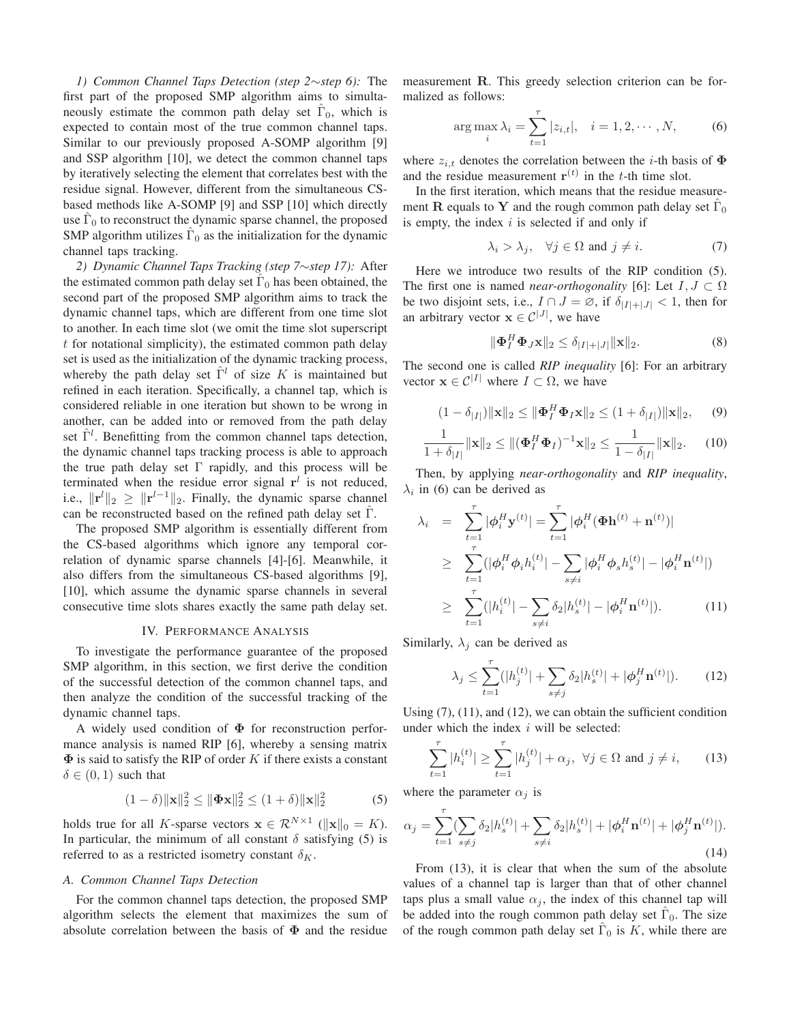*1) Common Channel Taps Detection (step 2*∼*step 6):* The first part of the proposed SMP algorithm aims to simultaneously estimate the common path delay set  $\Gamma_0$ , which is expected to contain most of the true common channel taps. Similar to our previously proposed A-SOMP algorithm [9] and SSP algorithm [10], we detect the common channel taps by iteratively selecting the element that correlates best with the residue signal. However, different from the simultaneous CSbased methods like A-SOMP [9] and SSP [10] which directly use  $\Gamma_0$  to reconstruct the dynamic sparse channel, the proposed SMP algorithm utilizes  $\hat{\Gamma}_0$  as the initialization for the dynamic channel taps tracking.

*2) Dynamic Channel Taps Tracking (step 7*∼*step 17):* After the estimated common path delay set  $\Gamma_0$  has been obtained, the second part of the proposed SMP algorithm aims to track the dynamic channel taps, which are different from one time slot to another. In each time slot (we omit the time slot superscript t for notational simplicity), the estimated common path delay set is used as the initialization of the dynamic tracking process, whereby the path delay set  $\hat{\Gamma}^l$  of size K is maintained but refined in each iteration. Specifically, a channel tap, which is considered reliable in one iteration but shown to be wrong in another, can be added into or removed from the path delay set  $\hat{\Gamma}^l$ . Benefitting from the common channel taps detection, the dynamic channel taps tracking process is able to approach the dynamic channel taps tracking process is able to approach the true path delay set  $\Gamma$  rapidly, and this process will be terminated when the residue error signal  $r^l$  is not reduced, i.e.,  $\|\mathbf{r}^l\|_2 \geq \|\mathbf{r}^{l-1}\|_2$ . Finally, the dynamic sparse channel can be reconstructed based on the refined path delay set  $\hat{\Gamma}$ .

The proposed SMP algorithm is essentially different from the CS-based algorithms which ignore any temporal correlation of dynamic sparse channels [4]-[6]. Meanwhile, it also differs from the simultaneous CS-based algorithms [9], [10], which assume the dynamic sparse channels in several consecutive time slots shares exactly the same path delay set.

#### IV. PERFORMANCE ANALYSIS

To investigate the performance guarantee of the proposed SMP algorithm, in this section, we first derive the condition of the successful detection of the common channel taps, and then analyze the condition of the successful tracking of the dynamic channel taps.

A widely used condition of **Φ** for reconstruction performance analysis is named RIP [6], whereby a sensing matrix  $\Phi$  is said to satisfy the RIP of order K if there exists a constant  $\delta \in (0,1)$  such that

$$
(1 - \delta) ||\mathbf{x}||_2^2 \le ||\mathbf{\Phi}\mathbf{x}||_2^2 \le (1 + \delta) ||\mathbf{x}||_2^2
$$
 (5)

holds true for all K-sparse vectors  $\mathbf{x} \in \mathbb{R}^{N \times 1}$  ( $\|\mathbf{x}\|_0 = K$ ).<br>In particular, the minimum of all constant  $\delta$  satisfying (5) is In particular, the minimum of all constant  $\delta$  satisfying (5) is referred to as a restricted isometry constant  $\delta_K$ .

#### *A. Common Channel Taps Detection*

For the common channel taps detection, the proposed SMP algorithm selects the element that maximizes the sum of absolute correlation between the basis of **Φ** and the residue measurement **R**. This greedy selection criterion can be formalized as follows:

$$
\arg \max_{i} \lambda_{i} = \sum_{t=1}^{\tau} |z_{i,t}|, \quad i = 1, 2, \cdots, N,
$$
 (6)

where  $z_{i,t}$  denotes the correlation between the *i*-th basis of  $\Phi$ and the residue measurement  $\mathbf{r}^{(t)}$  in the t-th time slot.

In the first iteration, which means that the residue measurement **R** equals to **Y** and the rough common path delay set  $\Gamma_0$ is empty, the index  $i$  is selected if and only if

$$
\lambda_i > \lambda_j, \quad \forall j \in \Omega \text{ and } j \neq i. \tag{7}
$$

Here we introduce two results of the RIP condition (5). The first one is named *near-orthogonality* [6]: Let  $I, J \subset \Omega$ be two disjoint sets, i.e.,  $I \cap J = \emptyset$ , if  $\delta_{|I|+|J|} < 1$ , then for an arbitrary vector  $\mathbf{x} \in \mathcal{C}^{[J]}$ , we have

$$
\|\boldsymbol{\Phi}_I^H \boldsymbol{\Phi}_J \mathbf{x}\|_2 \le \delta_{|I|+|J|} \|\mathbf{x}\|_2. \tag{8}
$$

The second one is called *RIP inequality* [6]: For an arbitrary vector  $\mathbf{x} \in \mathcal{C}^{|I|}$  where  $I \subset \Omega$ , we have

$$
(1 - \delta_{|I|}) ||\mathbf{x}||_2 \le ||\mathbf{\Phi}_I^H \mathbf{\Phi}_I \mathbf{x}||_2 \le (1 + \delta_{|I|}) ||\mathbf{x}||_2, \qquad (9)
$$

$$
\frac{1}{1+\delta_{|I|}} \|\mathbf{x}\|_2 \le \|(\boldsymbol{\Phi}_I^H \boldsymbol{\Phi}_I)^{-1} \mathbf{x}\|_2 \le \frac{1}{1-\delta_{|I|}} \|\mathbf{x}\|_2. \tag{10}
$$

Then, by applying *near-orthogonality* and *RIP inequality*,  $\lambda_i$  in (6) can be derived as

$$
\lambda_i = \sum_{t=1}^{\tau} |\phi_i^H \mathbf{y}^{(t)}| = \sum_{t=1}^{\tau} |\phi_i^H (\mathbf{\Phi} \mathbf{h}^{(t)} + \mathbf{n}^{(t)})|
$$
  
\n
$$
\geq \sum_{t=1}^{\tau} (|\phi_i^H \phi_i h_i^{(t)}| - \sum_{s \neq i} |\phi_i^H \phi_s h_s^{(t)}| - |\phi_i^H \mathbf{n}^{(t)}|)
$$
  
\n
$$
\geq \sum_{t=1}^{\tau} (|h_i^{(t)}| - \sum_{s \neq i} \delta_2 |h_s^{(t)}| - |\phi_i^H \mathbf{n}^{(t)}|). \tag{11}
$$

Similarly,  $\lambda_i$  can be derived as

$$
\lambda_j \le \sum_{t=1}^{\tau} (|h_j^{(t)}| + \sum_{s \ne j} \delta_2 |h_s^{(t)}| + |\phi_j^H \mathbf{n}^{(t)}|). \tag{12}
$$

Using (7), (11), and (12), we can obtain the sufficient condition under which the index  $i$  will be selected:

$$
\sum_{t=1}^{\tau} |h_i^{(t)}| \ge \sum_{t=1}^{\tau} |h_j^{(t)}| + \alpha_j, \ \forall j \in \Omega \text{ and } j \ne i,
$$
 (13)

where the parameter  $\alpha_j$  is

$$
\alpha_j = \sum_{t=1}^{\tau} \left( \sum_{s \neq j} \delta_2 |h_s^{(t)}| + \sum_{s \neq i} \delta_2 |h_s^{(t)}| + |\phi_i^H \mathbf{n}^{(t)}| + |\phi_j^H \mathbf{n}^{(t)}| \right).
$$
\n(14)

From (13), it is clear that when the sum of the absolute values of a channel tap is larger than that of other channel taps plus a small value  $\alpha_i$ , the index of this channel tap will be added into the rough common path delay set  $\hat{\Gamma}_0$ . The size of the rough common path delay set  $\Gamma_0$  is K, while there are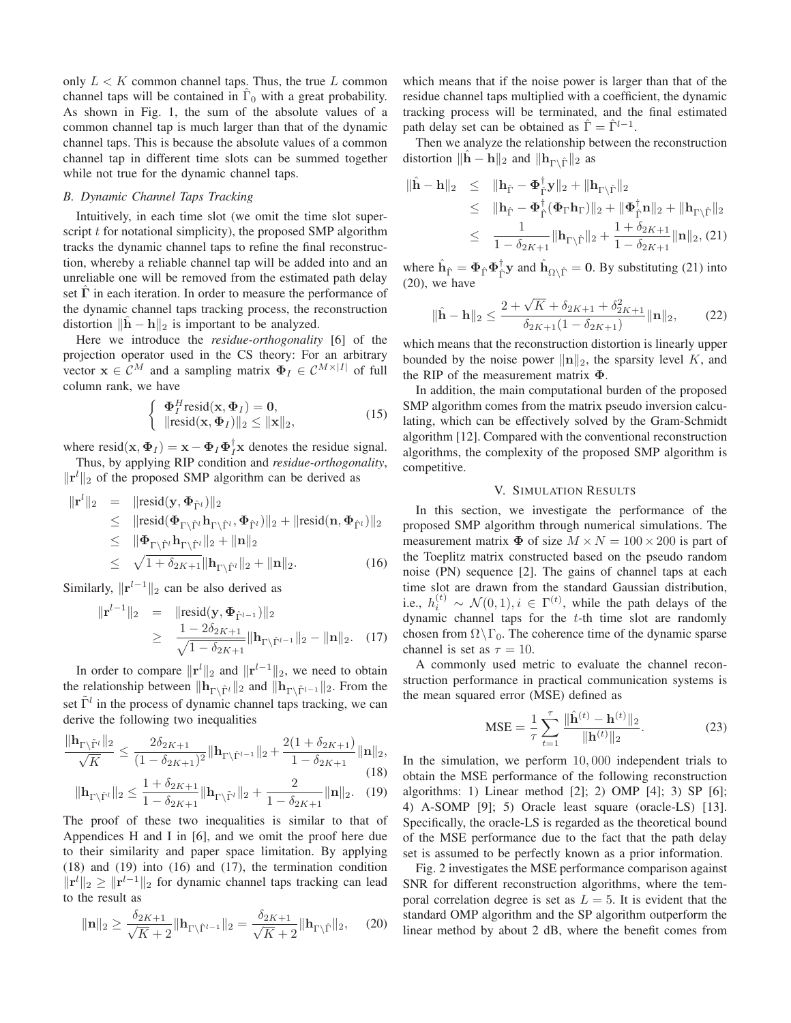only  $L < K$  common channel taps. Thus, the true L common channel taps will be contained in  $\Gamma_0$  with a great probability. As shown in Fig. 1, the sum of the absolute values of a common channel tap is much larger than that of the dynamic channel taps. This is because the absolute values of a common channel tap in different time slots can be summed together while not true for the dynamic channel taps.

## *B. Dynamic Channel Taps Tracking*

Intuitively, in each time slot (we omit the time slot superscript  $t$  for notational simplicity), the proposed SMP algorithm tracks the dynamic channel taps to refine the final reconstruction, whereby a reliable channel tap will be added into and an unreliable one will be removed from the estimated path delay set **<sup>Γ</sup>**<sup>ˆ</sup> in each iteration. In order to measure the performance of the dynamic channel taps tracking process, the reconstruction distortion  $\|\mathbf{h} - \mathbf{h}\|_2$  is important to be analyzed.

Here we introduce the *residue-orthogonality* [6] of the projection operator used in the CS theory: For an arbitrary vector  $\mathbf{x} \in \mathcal{C}^M$  and a sampling matrix  $\mathbf{\Phi}_I \in \mathcal{C}^{M \times |I|}$  of full column rank, we have

$$
\begin{cases} \n\boldsymbol{\Phi}_I^H \text{resid}(\mathbf{x}, \boldsymbol{\Phi}_I) = \mathbf{0}, \\ \|\text{resid}(\mathbf{x}, \boldsymbol{\Phi}_I)\|_2 \le \|\mathbf{x}\|_2, \n\end{cases} \tag{15}
$$

where resid( $\mathbf{x}, \Phi_I$ ) =  $\mathbf{x} - \Phi_I \Phi_I^{\mathsf{T}} \mathbf{x}$  denotes the residue signal.<br>Thus by applying RIP condition and *residue-orthogonality* 

Thus, by applying RIP condition and *residue-orthogonality*,  $\|\mathbf{r}^l\|_2$  of the proposed SMP algorithm can be derived as

$$
\begin{array}{rcl}\n|\mathbf{r}^{l}\|_{2} & = & \|\text{resid}(\mathbf{y}, \boldsymbol{\Phi}_{\hat{\Gamma}^{l}})\|_{2} \\
& \leq & \|\text{resid}(\boldsymbol{\Phi}_{\Gamma\backslash\hat{\Gamma}^{l}}\mathbf{h}_{\Gamma\backslash\hat{\Gamma}^{l}}, \boldsymbol{\Phi}_{\hat{\Gamma}^{l}})\|_{2} + \|\text{resid}(\mathbf{n}, \boldsymbol{\Phi}_{\hat{\Gamma}^{l}})\|_{2} \\
& \leq & \|\boldsymbol{\Phi}_{\Gamma\backslash\hat{\Gamma}^{l}}\mathbf{h}_{\Gamma\backslash\hat{\Gamma}^{l}}\|_{2} + \|\mathbf{n}\|_{2} \\
& \leq & \sqrt{1 + \delta_{2K+1}} \|\mathbf{h}_{\Gamma\backslash\hat{\Gamma}^{l}}\|_{2} + \|\mathbf{n}\|_{2}.\n\end{array} \tag{16}
$$

Similarly,  $\|\mathbf{r}^{l-1}\|_2$  can be also derived as

$$
||\mathbf{r}^{l-1}||_2 = ||\text{resid}(\mathbf{y}, \Phi_{\hat{\Gamma}^{l-1}})||_2
$$
  
 
$$
\geq \frac{1 - 2\delta_{2K+1}}{\sqrt{1 - \delta_{2K+1}}} ||\mathbf{h}_{\Gamma \setminus \hat{\Gamma}^{l-1}}||_2 - ||\mathbf{n}||_2. (17)
$$

In order to compare  $\|\mathbf{r}^l\|_2$  and  $\|\mathbf{r}^{l-1}\|_2$ , we need to obtain the relationship between  $\|\mathbf{h}_{\Gamma\setminus\hat{\Gamma}^l}\|_2$  and  $\|\mathbf{h}_{\Gamma\setminus\hat{\Gamma}^{l-1}}\|_2$ . From the set  $\tilde{\Gamma}^l$  in the process of dynamic channel taps tracking, we can derive the following two inequalities

$$
\frac{\|\mathbf{h}_{\Gamma\setminus\tilde{\Gamma}^l}\|_2}{\sqrt{K}} \le \frac{2\delta_{2K+1}}{(1-\delta_{2K+1})^2} \|\mathbf{h}_{\Gamma\setminus\hat{\Gamma}^{l-1}}\|_2 + \frac{2(1+\delta_{2K+1})}{1-\delta_{2K+1}} \|\mathbf{n}\|_2,
$$
\n(18)

$$
\|\mathbf{h}_{\Gamma\backslash\tilde{\Gamma}^l}\|_2 \le \frac{1+\delta_{2K+1}}{1-\delta_{2K+1}} \|\mathbf{h}_{\Gamma\backslash\tilde{\Gamma}^l}\|_2 + \frac{2}{1-\delta_{2K+1}} \|\mathbf{n}\|_2. \tag{19}
$$
  
The proof of these two inequalities is similar to that of

Appendices H and I in [6], and we omit the proof here due to their similarity and paper space limitation. By applying (18) and (19) into (16) and (17), the termination condition  $\|\mathbf{r}^{l}\|_{2} \geq \|\mathbf{r}^{l-1}\|_{2}$  for dynamic channel taps tracking can lead to the result as

$$
\|\mathbf{n}\|_{2} \ge \frac{\delta_{2K+1}}{\sqrt{K}+2} \|\mathbf{h}_{\Gamma\setminus\hat{\Gamma}^{l-1}}\|_{2} = \frac{\delta_{2K+1}}{\sqrt{K}+2} \|\mathbf{h}_{\Gamma\setminus\hat{\Gamma}}\|_{2},\tag{20}
$$

which means that if the noise power is larger than that of the residue channel taps multiplied with a coefficient, the dynamic tracking process will be terminated, and the final estimated path delay set can be obtained as  $\hat{\Gamma} = \hat{\Gamma}^{l-1}$ .

Then we analyze the relationship between the reconstruction distortion  $\|\mathbf{h} - \mathbf{h}\|_2$  and  $\|\mathbf{h}_{\Gamma \setminus \hat{\Gamma}}\|_2$  as

$$
\|\hat{\mathbf{h}} - \mathbf{h}\|_{2} \leq \|\mathbf{h}_{\hat{\Gamma}} - \mathbf{\Phi}_{\hat{\Gamma}}^{\dagger} \mathbf{y}\|_{2} + \|\mathbf{h}_{\Gamma \backslash \hat{\Gamma}}\|_{2}
$$
  
\n
$$
\leq \|\mathbf{h}_{\hat{\Gamma}} - \mathbf{\Phi}_{\hat{\Gamma}}^{\dagger} (\mathbf{\Phi}_{\Gamma} \mathbf{h}_{\Gamma})\|_{2} + \|\mathbf{\Phi}_{\hat{\Gamma}}^{\dagger} \mathbf{n}\|_{2} + \|\mathbf{h}_{\Gamma \backslash \hat{\Gamma}}\|_{2}
$$
  
\n
$$
\leq \frac{1}{1 - \delta_{2K+1}} \|\mathbf{h}_{\Gamma \backslash \hat{\Gamma}}\|_{2} + \frac{1 + \delta_{2K+1}}{1 - \delta_{2K+1}} \|\mathbf{n}\|_{2}, (21)
$$

where  $\mathbf{h}_{\hat{\Gamma}} = \mathbf{\Phi}_{\hat{\Gamma}} \mathbf{\Phi}_{\hat{\Gamma}}^{\dagger} \mathbf{y}$  and  $\mathbf{h}_{\Omega \setminus \hat{\Gamma}} = 0$ . By substituting (21) into (20), we have

$$
\|\hat{\mathbf{h}} - \mathbf{h}\|_{2} \le \frac{2 + \sqrt{K} + \delta_{2K+1} + \delta_{2K+1}^{2}}{\delta_{2K+1}(1 - \delta_{2K+1})} \|\mathbf{n}\|_{2},
$$
 (22)

which means that the reconstruction distortion is linearly upper bounded by the noise power  $\|\mathbf{n}\|_2$ , the sparsity level K, and the RIP of the measurement matrix **Φ**.

In addition, the main computational burden of the proposed SMP algorithm comes from the matrix pseudo inversion calculating, which can be effectively solved by the Gram-Schmidt algorithm [12]. Compared with the conventional reconstruction algorithms, the complexity of the proposed SMP algorithm is competitive.

## V. SIMULATION RESULTS

In this section, we investigate the performance of the proposed SMP algorithm through numerical simulations. The measurement matrix  $\Phi$  of size  $M \times N = 100 \times 200$  is part of the Toeplitz matrix constructed based on the pseudo random noise (PN) sequence [2]. The gains of channel taps at each time slot are drawn from the standard Gaussian distribution, i.e.,  $h_i^{(t)} \sim \mathcal{N}(0, 1), i \in \Gamma^{(t)}$ , while the path delays of the dynamic channel taps for the *t*-th time slot are randomly dynamic channel taps for the t-th time slot are randomly chosen from  $\Omega \backslash \Gamma_0$ . The coherence time of the dynamic sparse channel is set as  $\tau = 10$ .

A commonly used metric to evaluate the channel reconstruction performance in practical communication systems is the mean squared error (MSE) defined as

$$
\text{MSE} = \frac{1}{\tau} \sum_{t=1}^{\tau} \frac{\|\hat{\mathbf{h}}^{(t)} - \mathbf{h}^{(t)}\|_{2}}{\|\mathbf{h}^{(t)}\|_{2}}.
$$
 (23)

In the simulation, we perform 10, 000 independent trials to obtain the MSE performance of the following reconstruction algorithms: 1) Linear method  $[2]$ ; 2) OMP  $[4]$ ; 3) SP  $[6]$ ; 4) A-SOMP [9]; 5) Oracle least square (oracle-LS) [13]. Specifically, the oracle-LS is regarded as the theoretical bound of the MSE performance due to the fact that the path delay set is assumed to be perfectly known as a prior information.

Fig. 2 investigates the MSE performance comparison against SNR for different reconstruction algorithms, where the temporal correlation degree is set as  $L = 5$ . It is evident that the standard OMP algorithm and the SP algorithm outperform the linear method by about 2 dB, where the benefit comes from